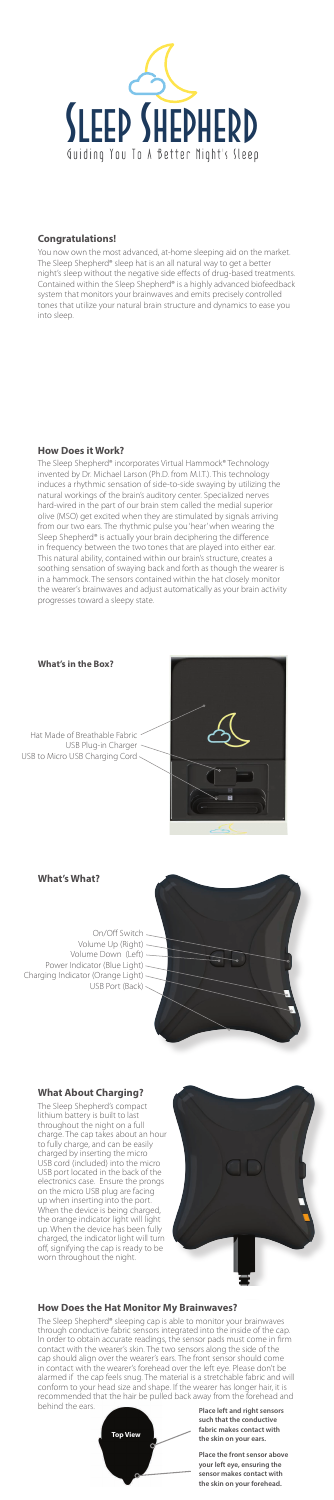

#### **Congratulations!**

You now own the most advanced, at-home sleeping aid on the market. The Sleep Shepherd® sleep hat is an all natural way to get a better night's sleep without the negative side effects of drug-based treatments. Contained within the Sleep Shepherd® is a highly advanced biofeedback system that monitors your brainwaves and emits precisely controlled tones that utilize your natural brain structure and dynamics to ease you into sleep.

# **How Does it Work?**

The Sleep Shepherd® incorporates Virtual Hammock® Technology invented by Dr. Michael Larson (Ph.D. from M.I.T.). This technology induces a rhythmic sensation of side-to-side swaying by utilizing the natural workings of the brain's auditory center. Specialized nerves hard-wired in the part of our brain stem called the medial superior olive (MSO) get excited when they are stimulated by signals arriving from our two ears. The rhythmic pulse you 'hear' when wearing the Sleep Shepherd® is actually your brain deciphering the difference in frequency between the two tones that are played into either ear. This natural ability, contained within our brain's structure, creates a soothing sensation of swaying back and forth as though the wearer is in a hammock. The sensors contained within the hat closely monitor the wearer's brainwaves and adjust automatically as your brain activity progresses toward a sleepy state.

The Sleep Shepherd® sleeping cap is able to monitor your brainwaves through conductive fabric sensors integrated into the inside of the cap. In order to obtain accurate readings, the sensor pads must come in firm contact with the wearer's skin. The two sensors along the side of the cap should align over the wearer's ears. The front sensor should come in contact with the wearer's forehead over the left eye. Please don't be alarmed if the cap feels snug. The material is a stretchable fabric and will conform to your head size and shape. If the wearer has longer hair, it is recommended that the hair be pulled back away from the forehead and behind the ears. **Place left and right sensors** 

**What's What?**



On/Off Switch Volume Up (Right) Volume Down (Left) Power Indicator (Blue Light) Charging Indicator (Orange Light) USB Port (Back)



## **What About Charging?**

The Sleep Shepherd's compact lithium battery is built to last throughout the night on a full charge. The cap takes about an hour to fully charge, and can be easily charged by inserting the micro USB cord (included) into the micro USB port located in the back of the electronics case. Ensure the prongs on the micro USB plug are facing up when inserting into the port. When the device is being charged, the orange indicator light will light up. When the device has been fully charged, the indicator light will turn off, signifying the cap is ready to be worn throughout the night.



#### **How Does the Hat Monitor My Brainwaves?**

**such that the conductive fabric makes contact with the skin on your ears.**

**Place the front sensor above your left eye, ensuring the sensor makes contact with the skin on your forehead.**